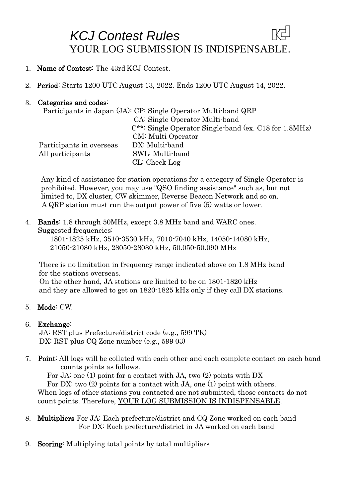## *KCJ Contest Rules*  YOUR LOG SUBMISSION IS INDISPENSABLE.

- 1. Name of Contest: The 43rd KCJ Contest.
- 2. Period: Starts 1200 UTC August 13, 2022. Ends 1200 UTC August 14, 2022.

#### 3. Categories and codes:

|                          | Participants in Japan (JA): CP: Single Operator Multi-band QRP |
|--------------------------|----------------------------------------------------------------|
|                          | CA: Single Operator Multi-band                                 |
|                          | $C^{**}$ : Single Operator Single-band (ex. C18 for 1.8MHz)    |
|                          | CM: Multi Operator                                             |
| Participants in overseas | DX: Multi-band                                                 |
| All participants         | SWL: Multi-band                                                |
|                          | CL: Check Log                                                  |

Any kind of assistance for station operations for a category of Single Operator is prohibited. However, you may use "QSO finding assistance" such as, but not limited to, DX cluster, CW skimmer, Reverse Beacon Network and so on. A QRP station must run the output power of five (5) watts or lower.

4. Bands: 1.8 through 50MHz, except 3.8 MHz band and WARC ones. Suggested frequencies:

1801-1825 kHz, 3510-3530 kHz, 7010-7040 kHz, 14050-14080 kHz, 21050-21080 kHz, 28050-28080 kHz, 50.050-50.090 MHz

There is no limitation in frequency range indicated above on 1.8 MHz band for the stations overseas.

 On the other hand, JA stations are limited to be on 1801-1820 kHz and they are allowed to get on 1820-1825 kHz only if they call DX stations.

#### 5. Mode: CW.

#### 6. Exchange:

JA: RST plus Prefecture/district code (e.g., 599 TK) DX: RST plus CQ Zone number (e.g., 599 03)

7. Point: All logs will be collated with each other and each complete contact on each band counts points as follows.

For JA: one (1) point for a contact with JA, two (2) points with DX

For DX: two  $(2)$  points for a contact with JA, one  $(1)$  point with others. When logs of other stations you contacted are not submitted, those contacts do not

count points. Therefore, YOUR LOG SUBMISSION IS INDISPENSABLE.

- 8. Multipliers For JA: Each prefecture/district and CQ Zone worked on each band For DX: Each prefecture/district in JA worked on each band
- 9. Scoring: Multiplying total points by total multipliers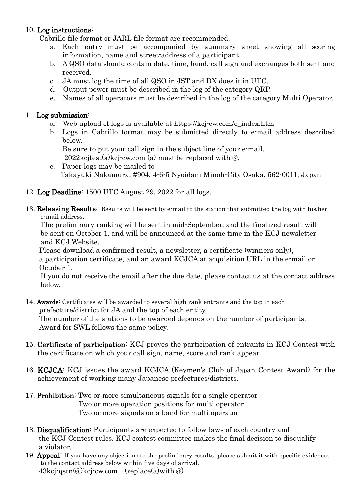#### 10. Log instructions:

Cabrillo file format or JARL file format are recommended.

- a. Each entry must be accompanied by summary sheet showing all scoring information, name and street-address of a participant.
- b. A QSO data should contain date, time, band, call sign and exchanges both sent and received.
- c. JA must log the time of all QSO in JST and DX does it in UTC.
- d. Output power must be described in the log of the category QRP.
- e. Names of all operators must be described in the log of the category Multi Operator.

#### 11. Log submission:

- a. Web upload of logs is available at https://kcj-cw.com/e\_index.htm
- b. Logs in Cabrillo format may be submitted directly to e-mail address described below.
	- Be sure to put your call sign in the subject line of your e-mail.
		- 2022kcjtest(a)kcj-cw.com (a) must be replaced with @.
- c. Paper logs may be mailed to Takayuki Nakamura, #904, 4-6-5 Nyoidani Minoh-City Osaka, 562-0011, Japan
- 12. Log Deadline: 1500 UTC August 29, 2022 for all logs.
- 13. Releasing Results: Results will be sent by e-mail to the station that submitted the log with his/her e-mail address.

The preliminary ranking will be sent in mid-September, and the finalized result will be sent on October 1, and will be announced at the same time in the KCJ newsletter and KCJ Website.

Please download a confirmed result, a newsletter, a certificate (winners only), a participation certificate, and an award KCJCA at acquisition URL in the e-mail on October 1.

If you do not receive the email after the due date, please contact us at the contact address below.

14. Awards: Certificates will be awarded to several high rank entrants and the top in each prefecture/district for JA and the top of each entity.

The number of the stations to be awarded depends on the number of participants. Award for SWL follows the same policy.

- 15. Certificate of participation: KCJ proves the participation of entrants in KCJ Contest with the certificate on which your call sign, name, score and rank appear.
- 16. KCJCA: KCJ issues the award KCJCA (Keymen's Club of Japan Contest Award) for the achievement of working many Japanese prefectures/districts.
- 17. Prohibition: Two or more simultaneous signals for a single operator Two or more operation positions for multi operator Two or more signals on a band for multi operator
- 18. Disqualification: Participants are expected to follow laws of each country and the KCJ Contest rules. KCJ contest committee makes the final decision to disqualify a violator.
- 19. Appeal: If you have any objections to the preliminary results, please submit it with specific evidences to the contact address below within five days of arrival.  $43\text{kci-gstn}(\omega)$ kcj-cw.com (replace(a)with  $\omega$ )